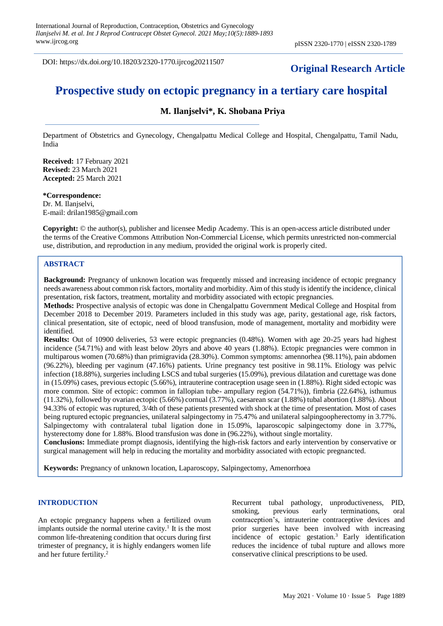DOI: https://dx.doi.org/10.18203/2320-1770.ijrcog20211507

# **Original Research Article**

# **Prospective study on ectopic pregnancy in a tertiary care hospital**

# **M. Ilanjselvi\*, K. Shobana Priya**

Department of Obstetrics and Gynecology, Chengalpattu Medical College and Hospital, Chengalpattu, Tamil Nadu, India

**Received:** 17 February 2021 **Revised:** 23 March 2021 **Accepted:** 25 March 2021

#### **\*Correspondence:** Dr. M. Ilanjselvi,

E-mail: drilan1985@gmail.com

**Copyright:** © the author(s), publisher and licensee Medip Academy. This is an open-access article distributed under the terms of the Creative Commons Attribution Non-Commercial License, which permits unrestricted non-commercial use, distribution, and reproduction in any medium, provided the original work is properly cited.

# **ABSTRACT**

**Background:** Pregnancy of unknown location was frequently missed and increasing incidence of ectopic pregnancy needs awareness about common risk factors, mortality and morbidity. Aim of this study is identify the incidence, clinical presentation, risk factors, treatment, mortality and morbidity associated with ectopic pregnancies.

**Methods:** Prospective analysis of ectopic was done in Chengalpattu Government Medical College and Hospital from December 2018 to December 2019. Parameters included in this study was age, parity, gestational age, risk factors, clinical presentation, site of ectopic, need of blood transfusion, mode of management, mortality and morbidity were identified.

**Results:** Out of 10900 deliveries, 53 were ectopic pregnancies (0.48%). Women with age 20-25 years had highest incidence (54.71%) and with least below 20yrs and above 40 years (1.88%). Ectopic pregnancies were common in multiparous women (70.68%) than primigravida (28.30%). Common symptoms: amennorhea (98.11%), pain abdomen (96.22%), bleeding per vaginum (47.16%) patients. Urine pregnancy test positive in 98.11%. Etiology was pelvic infection (18.88%), surgeries including LSCS and tubal surgeries (15.09%), previous dilatation and curettage was done in (15.09%) cases, previous ectopic (5.66%), intrauterine contraception usage seen in (1.88%). Right sided ectopic was more common. Site of ectopic: common in fallopian tube- ampullary region (54.71%)), fimbria (22.64%), isthumus (11.32%), followed by ovarian ectopic (5.66%) cornual (3.77%), caesarean scar (1.88%) tubal abortion (1.88%). About 94.33% of ectopic was ruptured, 3/4th of these patients presented with shock at the time of presentation. Most of cases being ruptured ectopic pregnancies, unilateral salpingectomy in 75.47% and unilateral salpingoopherectomy in 3.77%. Salpingectomy with contralateral tubal ligation done in 15.09%, laparoscopic salpingectomy done in 3.77%, hysterectomy done for 1.88%. Blood transfusion was done in (96.22%), without single mortality.

**Conclusions:** Immediate prompt diagnosis, identifying the high-risk factors and early intervention by conservative or surgical management will help in reducing the mortality and morbidity associated with ectopic pregnancted.

**Keywords:** Pregnancy of unknown location, Laparoscopy, Salpingectomy, Amenorrhoea

## **INTRODUCTION**

An ectopic pregnancy happens when a fertilized ovum implants outside the normal uterine cavity.<sup>1</sup> It is the most common life-threatening condition that occurs during first trimester of pregnancy, it is highly endangers women life and her future fertility.<sup>2</sup>

Recurrent tubal pathology, unproductiveness, PID, smoking, previous early terminations, oral contraception's, intrauterine contraceptive devices and prior surgeries have been involved with increasing incidence of ectopic gestation.<sup>3</sup> Early identification reduces the incidence of tubal rupture and allows more conservative clinical prescriptions to be used.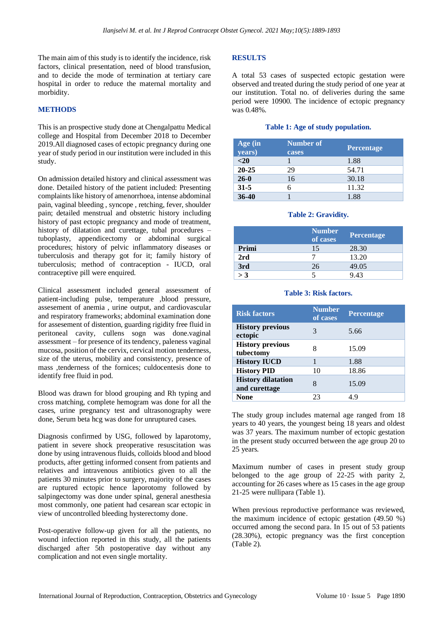The main aim of this study is to identify the incidence, risk factors, clinical presentation, need of blood transfusion, and to decide the mode of termination at tertiary care hospital in order to reduce the maternal mortality and morbidity.

#### **METHODS**

This is an prospective study done at Chengalpattu Medical college and Hospital from December 2018 to December 2019.All diagnosed cases of ectopic pregnancy during one year of study period in our institution were included in this study.

On admission detailed history and clinical assessment was done. Detailed history of the patient included: Presenting complaints like history of amenorrhoea, intense abdominal pain, vaginal bleeding , syncope , retching, fever, shoulder pain; detailed menstrual and obstetric history including history of past ectopic pregnancy and mode of treatment, history of dilatation and curettage, tubal procedures – tuboplasty, appendicectomy or abdominal surgical procedures; history of pelvic inflammatory diseases or tuberculosis and therapy got for it; family history of tuberculosis; method of contraception - IUCD, oral contraceptive pill were enquired.

Clinical assessment included general assessment of patient-including pulse, temperature ,blood pressure, assesement of anemia , urine output, and cardiovascular and respiratory frameworks; abdominal examination done for assesement of distention, guarding rigidity free fluid in peritoneal cavity, cullens sogn was done.vaginal assessment – for presence of its tendency, paleness vaginal mucosa, position of the cervix, cervical motion tenderness, size of the uterus, mobility and consistency, presence of mass ,tenderness of the fornices; culdocentesis done to identify free fluid in pod.

Blood was drawn for blood grouping and Rh typing and cross matching, complete hemogram was done for all the cases, urine pregnancy test and ultrasonography were done, Serum beta hcg was done for unruptured cases.

Diagnosis confirmed by USG, followed by laparotomy, patient in severe shock preoperative resuscitation was done by using intravenous fluids, colloids blood and blood products, after getting informed consent from patients and relatives and intravenous antibiotics given to all the patients 30 minutes prior to surgery, majority of the cases are ruptured ectopic hence laporotomy followed by salpingectomy was done under spinal, general anesthesia most commonly, one patient had cesarean scar ectopic in view of uncontrolled bleeding hysterectomy done.

Post-operative follow-up given for all the patients, no wound infection reported in this study, all the patients discharged after 5th postoperative day without any complication and not even single mortality.

## **RESULTS**

A total 53 cases of suspected ectopic gestation were observed and treated during the study period of one year at our institution. Total no. of deliveries during the same period were 10900. The incidence of ectopic pregnancy was 0.48%.

#### **Table 1: Age of study population.**

| Age (in<br>years) | Number of<br>cases | <b>Percentage</b> |
|-------------------|--------------------|-------------------|
| $20$              |                    | 1.88              |
| $20 - 25$         | 29                 | 54.71             |
| $26-0$            | 16                 | 30.18             |
| $31 - 5$          |                    | 11.32             |
| $36-40$           |                    | 1.88              |

#### **Table 2: Gravidity.**

|       | <b>Number</b><br>of cases | <b>Percentage</b> |
|-------|---------------------------|-------------------|
| Primi | 15                        | 28.30             |
| 2rd   |                           | 13.20             |
| 3rd   | 26                        | 49.05             |
| $>$ 3 |                           | 943               |

#### **Table 3: Risk factors.**

| <b>Risk factors</b>                        | <b>Number</b><br>of cases | <b>Percentage</b> |
|--------------------------------------------|---------------------------|-------------------|
| <b>History previous</b><br>ectopic         | 3                         | 5.66              |
| <b>History previous</b><br>tubectomy       | 8                         | 15.09             |
| <b>History IUCD</b>                        |                           | 1.88              |
| <b>History PID</b>                         | 10                        | 18.86             |
| <b>History dilatation</b><br>and curettage | 8                         | 15.09             |
| None                                       | 23                        | 49                |

The study group includes maternal age ranged from 18 years to 40 years, the youngest being 18 years and oldest was 37 years. The maximum number of ectopic gestation in the present study occurred between the age group 20 to 25 years.

Maximum number of cases in present study group belonged to the age group of  $22-25$  with parity 2, accounting for 26 cases where as 15 cases in the age group 21-25 were nullipara (Table 1).

When previous reproductive performance was reviewed, the maximum incidence of ectopic gestation (49.50 %) occurred among the second para. In 15 out of 53 patients (28.30%), ectopic pregnancy was the first conception (Table 2).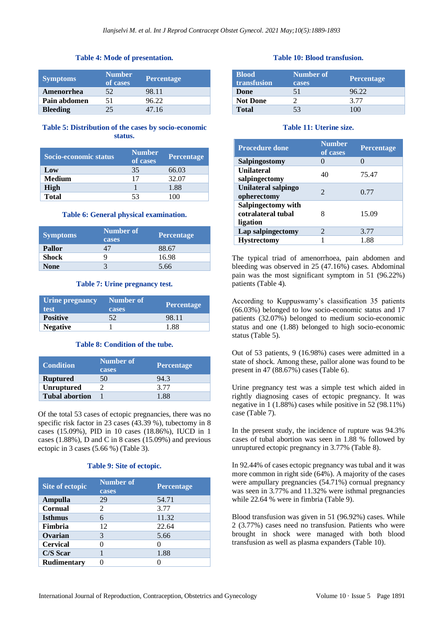## **Table 4: Mode of presentation.**

| <b>Symptoms</b> | <b>Number</b><br>of cases | <b>Percentage</b> |
|-----------------|---------------------------|-------------------|
| Amenorrhea      | 52                        | 98.11             |
| Pain abdomen    | 51                        | 96.22             |
| <b>Bleeding</b> | 25                        | 47.16             |

# **Table 5: Distribution of the cases by socio-economic status.**

| Socio-economic status | <b>Number</b><br>of cases | <b>Percentage</b> |
|-----------------------|---------------------------|-------------------|
| Low                   | 35                        | 66.03             |
| <b>Medium</b>         | 17                        | 32.07             |
| High                  |                           | 1.88              |
| <b>Total</b>          | 53                        |                   |

#### **Table 6: General physical examination.**

| <b>Symptoms</b> | Number of<br>cases | <b>Percentage</b> |
|-----------------|--------------------|-------------------|
| <b>Pallor</b>   |                    | 88.67             |
| <b>Shock</b>    |                    | 16.98             |
| <b>None</b>     |                    | 5.66              |

#### **Table 7: Urine pregnancy test.**

| Urine pregnancy<br>test' | Number of<br><b>cases</b> | <b>Percentage</b> |
|--------------------------|---------------------------|-------------------|
| <b>Positive</b>          | 52                        | 98.11             |
| <b>Negative</b>          |                           | 1 88              |

#### **Table 8: Condition of the tube.**

| Condition             | Number of<br>cases | <b>Percentage</b> |
|-----------------------|--------------------|-------------------|
| <b>Ruptured</b>       | 50                 | 94.3              |
| <b>Unruptured</b>     |                    | 3.77              |
| <b>Tubal abortion</b> |                    | 1.88              |

Of the total 53 cases of ectopic pregnancies, there was no specific risk factor in 23 cases (43.39 %), tubectomy in 8 cases (15.09%), PID in 10 cases (18.86%), IUCD in 1 cases (1.88%), D and C in 8 cases (15.09%) and previous ectopic in 3 cases (5.66 %) (Table 3).

#### **Table 9: Site of ectopic.**

| Site of ectopic    | <b>Number of</b><br>cases | <b>Percentage</b> |
|--------------------|---------------------------|-------------------|
| Ampulla            | 29                        | 54.71             |
| <b>Cornual</b>     | 2                         | 3.77              |
| <b>Isthmus</b>     |                           | 11.32             |
| Fimbria            | 12                        | 22.64             |
| Ovarian            | 3                         | 5.66              |
| <b>Cervical</b>    |                           |                   |
| C/S Scar           |                           | 1.88              |
| <b>Rudimentary</b> |                           |                   |

#### **Table 10: Blood transfusion.**

| <b>Blood</b><br>transfusion | Number of<br>cases | <b>Percentage</b> |
|-----------------------------|--------------------|-------------------|
| Done                        | 51                 | 96.22             |
| <b>Not Done</b>             |                    | 3.77              |
| <b>Total</b>                | 53                 | $-00$             |

#### **Table 11: Uterine size.**

| <b>Procedure done</b>                                | <b>Number</b><br>of cases | <b>Percentage</b> |
|------------------------------------------------------|---------------------------|-------------------|
| Salpingostomy                                        |                           | 0                 |
| <b>Unilateral</b><br>salpingectomy                   | 40                        | 75.47             |
| Unilateral salpingo<br>opherectomy                   | $\mathcal{D}_{\cdot}$     | 0.77              |
| Salpingectomy with<br>cotralateral tubal<br>ligation |                           | 15.09             |
| Lap salpingectomy                                    | $\mathcal{D}_{\cdot}$     | 3.77              |
| <b>Hystrectomy</b>                                   |                           | 1.88              |

The typical triad of amenorrhoea, pain abdomen and bleeding was observed in 25 (47.16%) cases. Abdominal pain was the most significant symptom in 51 (96.22%) patients (Table 4).

According to Kuppuswamy's classification 35 patients (66.03%) belonged to low socio-economic status and 17 patients (32.07%) belonged to medium socio-economic status and one (1.88) belonged to high socio-economic status (Table 5).

Out of 53 patients, 9 (16.98%) cases were admitted in a state of shock. Among these, pallor alone was found to be present in 47 (88.67%) cases (Table 6).

Urine pregnancy test was a simple test which aided in rightly diagnosing cases of ectopic pregnancy. It was negative in 1 (1.88%) cases while positive in 52 (98.11%) case (Table 7).

In the present study, the incidence of rupture was 94.3% cases of tubal abortion was seen in 1.88 % followed by unruptured ectopic pregnancy in 3.77% (Table 8).

In 92.44% of cases ectopic pregnancy was tubal and it was more common in right side (64%). A majority of the cases were ampullary pregnancies (54.71%) cornual pregnancy was seen in 3.77% and 11.32% were isthmal pregnancies while 22.64 % were in fimbria (Table 9).

Blood transfusion was given in 51 (96.92%) cases. While 2 (3.77%) cases need no transfusion. Patients who were brought in shock were managed with both blood transfusion as well as plasma expanders (Table 10).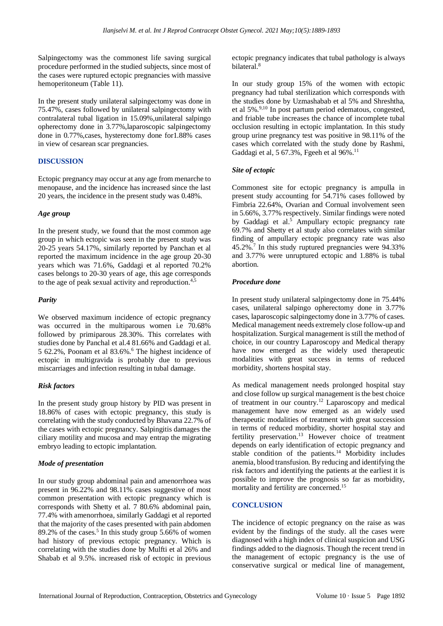Salpingectomy was the commonest life saving surgical procedure performed in the studied subjects, since most of the cases were ruptured ectopic pregnancies with massive hemoperitoneum (Table 11).

In the present study unilateral salpingectomy was done in 75.47%, cases followed by unilateral salpingectomy with contralateral tubal ligation in 15.09%,unilateral salpingo opherectomy done in 3.77%,laparoscopic salpingectomy done in 0.77%,cases, hysterectomy done for1.88% cases in view of cesarean scar pregnancies.

# **DISCUSSION**

Ectopic pregnancy may occur at any age from menarche to menopause, and the incidence has increased since the last 20 years, the incidence in the present study was 0.48%.

## *Age group*

In the present study, we found that the most common age group in which ectopic was seen in the present study was 20-25 years 54.17%, similarly reported by Panchan et al reported the maximum incidence in the age group 20-30 years which was 71.6%, Gaddagi et al reported 70.2% cases belongs to 20-30 years of age, this age corresponds to the age of peak sexual activity and reproduction.4,5

# *Parity*

We observed maximum incidence of ectopic pregnancy was occurred in the multiparous women i.e 70.68% followed by primiparous 28.30%. This correlates with studies done by Panchal et al.4 81.66% and Gaddagi et al. 5 62.2%, Poonam et al 83.6%.<sup>6</sup> The highest incidence of ectopic in multigravida is probably due to previous miscarriages and infection resulting in tubal damage.

## *Risk factors*

In the present study group history by PID was present in 18.86% of cases with ectopic pregnancy, this study is correlating with the study conducted by Bhavana 22.7% of the cases with ectopic pregnancy. Salpingitis damages the ciliary motility and mucosa and may entrap the migrating embryo leading to ectopic implantation.

# *Mode of presentation*

In our study group abdominal pain and amenorrhoea was present in 96.22% and 98.11% cases suggestive of most common presentation with ectopic pregnancy which is corresponds with Shetty et al. 7 80.6% abdominal pain, 77.4% with amenorrhoea, similarly Gaddagi et al reported that the majority of the cases presented with pain abdomen  $89.2\%$  of the cases.<sup>5</sup> In this study group 5.66% of women had history of previous ectopic pregnancy. Which is correlating with the studies done by Mulfti et al 26% and Shabab et al 9.5%. increased risk of ectopic in previous ectopic pregnancy indicates that tubal pathology is always bilateral.<sup>8</sup>

In our study group 15% of the women with ectopic pregnancy had tubal sterilization which corresponds with the studies done by Uzmashabab et al 5% and Shreshtha, et al 5%.9,10 In post partum period edematous, congested, and friable tube increases the chance of incomplete tubal occlusion resulting in ectopic implantation. In this study group urine pregnancy test was positive in 98.11% of the cases which correlated with the study done by Rashmi, Gaddagi et al, 5 67.3%, Fgeeh et al 96%.<sup>11</sup>

## *Site of ectopic*

Commonest site for ectopic pregnancy is ampulla in present study accounting for 54.71% cases followed by Fimbria 22.64%, Ovarian and Cornual involvement seen in 5.66%, 3.77% respectively. Similar findings were noted by Gaddagi et al.<sup>5</sup> Ampullary ectopic pregnancy rate 69.7% and Shetty et al study also correlates with similar finding of ampullary ectopic pregnancy rate was also 45.2%.<sup>7</sup> In this study ruptured pregnancies were 94.33% and 3.77% were unruptured ectopic and 1.88% is tubal abortion.

# *Procedure done*

In present study unilateral salpingectomy done in 75.44% cases, unilateral salpingo opherectomy done in 3.77% cases, laparoscopic salpingectomy done in 3.77% of cases. Medical management needs extremely close follow-up and hospitalization. Surgical management is still the method of choice, in our country Laparoscopy and Medical therapy have now emerged as the widely used therapeutic modalities with great success in terms of reduced morbidity, shortens hospital stay.

As medical management needs prolonged hospital stay and close follow up surgical management is the best choice of treatment in our country.<sup>12</sup> Laparoscopy and medical management have now emerged as an widely used therapeutic modalities of treatment with great succession in terms of reduced morbidity, shorter hospital stay and fertility preservation.<sup>13</sup> However choice of treatment depends on early identification of ectopic pregnancy and stable condition of the patients.<sup>14</sup> Morbidity includes anemia, blood transfusion. By reducing and identifying the risk factors and identifying the patients at the earliest it is possible to improve the prognosis so far as morbidity, mortality and fertility are concerned.<sup>15</sup>

## **CONCLUSION**

The incidence of ectopic pregnancy on the raise as was evident by the findings of the study. all the cases were diagnosed with a high index of clinical suspicion and USG findings added to the diagnosis. Though the recent trend in the management of ectopic pregnancy is the use of conservative surgical or medical line of management,